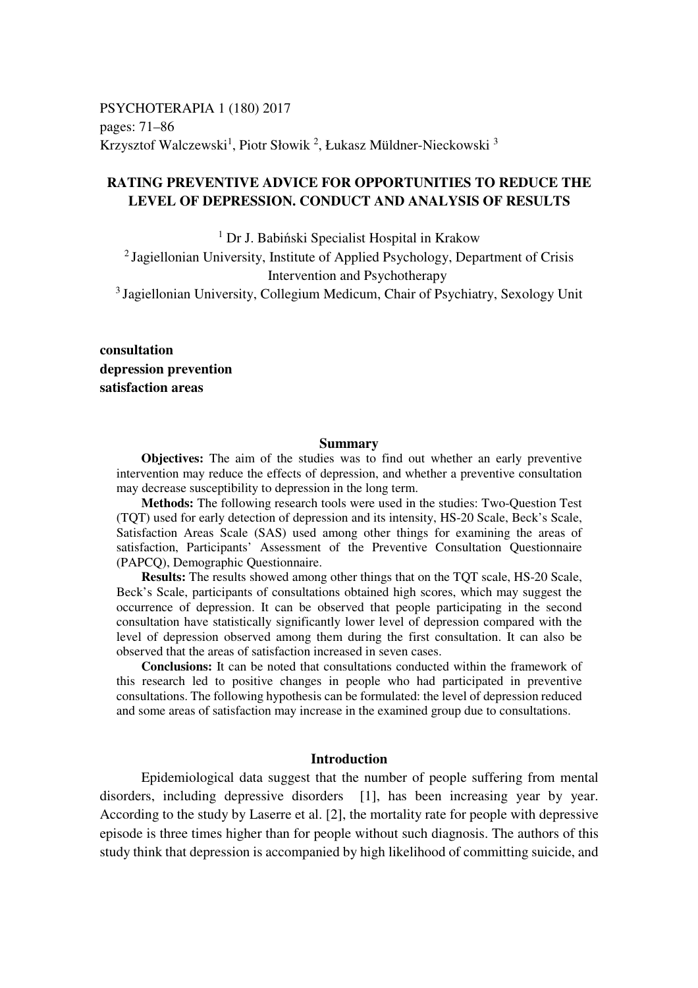PSYCHOTERAPIA 1 (180) 2017 pages: 71–86 Krzysztof Walczewski<sup>1</sup>, Piotr Słowik<sup>2</sup>, Łukasz Müldner-Nieckowski<sup>3</sup>

# **RATING PREVENTIVE ADVICE FOR OPPORTUNITIES TO REDUCE THE LEVEL OF DEPRESSION. CONDUCT AND ANALYSIS OF RESULTS**

1 Dr J. Babiński Specialist Hospital in Krakow <sup>2</sup> Jagiellonian University, Institute of Applied Psychology, Department of Crisis

Intervention and Psychotherapy

<sup>3</sup> Jagiellonian University, Collegium Medicum, Chair of Psychiatry, Sexology Unit

**consultation depression prevention satisfaction areas** 

#### **Summary**

**Objectives:** The aim of the studies was to find out whether an early preventive intervention may reduce the effects of depression, and whether a preventive consultation may decrease susceptibility to depression in the long term.

**Methods:** The following research tools were used in the studies: Two-Question Test (TQT) used for early detection of depression and its intensity, HS-20 Scale, Beck's Scale, Satisfaction Areas Scale (SAS) used among other things for examining the areas of satisfaction, Participants' Assessment of the Preventive Consultation Questionnaire (PAPCQ), Demographic Questionnaire.

**Results:** The results showed among other things that on the TQT scale, HS-20 Scale, Beck's Scale, participants of consultations obtained high scores, which may suggest the occurrence of depression. It can be observed that people participating in the second consultation have statistically significantly lower level of depression compared with the level of depression observed among them during the first consultation. It can also be observed that the areas of satisfaction increased in seven cases.

**Conclusions:** It can be noted that consultations conducted within the framework of this research led to positive changes in people who had participated in preventive consultations. The following hypothesis can be formulated: the level of depression reduced and some areas of satisfaction may increase in the examined group due to consultations.

## **Introduction**

Epidemiological data suggest that the number of people suffering from mental disorders, including depressive disorders [1], has been increasing year by year. According to the study by Laserre et al. [2], the mortality rate for people with depressive episode is three times higher than for people without such diagnosis. The authors of this study think that depression is accompanied by high likelihood of committing suicide, and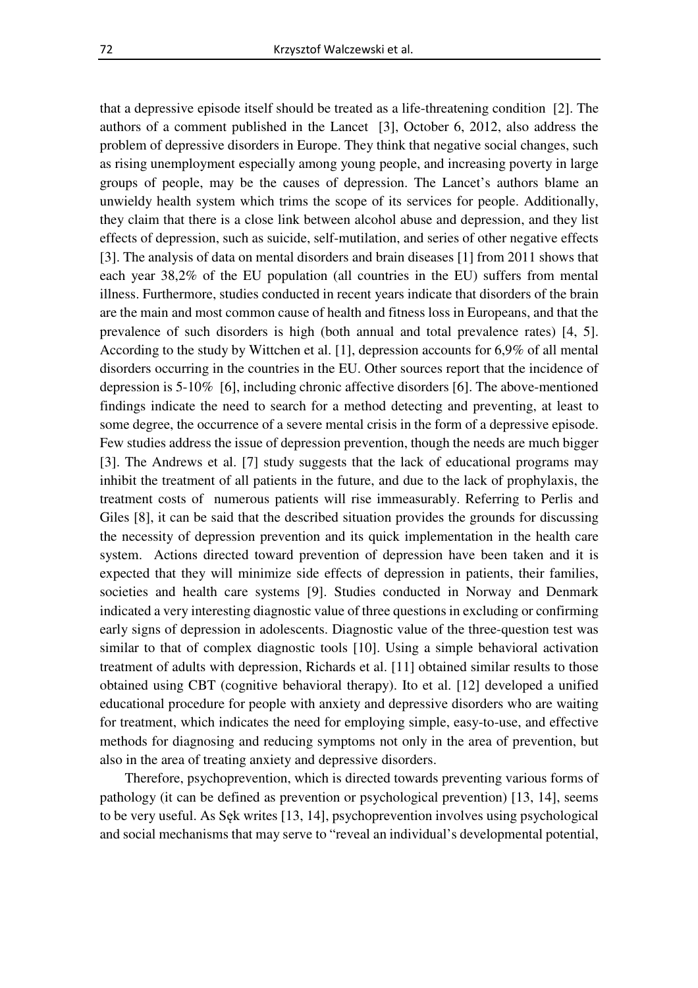that a depressive episode itself should be treated as a life-threatening condition [2]. The authors of a comment published in the Lancet [3], October 6, 2012, also address the problem of depressive disorders in Europe. They think that negative social changes, such as rising unemployment especially among young people, and increasing poverty in large groups of people, may be the causes of depression. The Lancet's authors blame an unwieldy health system which trims the scope of its services for people. Additionally, they claim that there is a close link between alcohol abuse and depression, and they list effects of depression, such as suicide, self-mutilation, and series of other negative effects [3]. The analysis of data on mental disorders and brain diseases [1] from 2011 shows that each year 38,2% of the EU population (all countries in the EU) suffers from mental illness. Furthermore, studies conducted in recent years indicate that disorders of the brain are the main and most common cause of health and fitness loss in Europeans, and that the prevalence of such disorders is high (both annual and total prevalence rates) [4, 5]. According to the study by Wittchen et al. [1], depression accounts for 6,9% of all mental disorders occurring in the countries in the EU. Other sources report that the incidence of depression is 5-10% [6], including chronic affective disorders [6]. The above-mentioned findings indicate the need to search for a method detecting and preventing, at least to some degree, the occurrence of a severe mental crisis in the form of a depressive episode. Few studies address the issue of depression prevention, though the needs are much bigger [3]. The Andrews et al. [7] study suggests that the lack of educational programs may inhibit the treatment of all patients in the future, and due to the lack of prophylaxis, the treatment costs of numerous patients will rise immeasurably. Referring to Perlis and Giles [8], it can be said that the described situation provides the grounds for discussing the necessity of depression prevention and its quick implementation in the health care system. Actions directed toward prevention of depression have been taken and it is expected that they will minimize side effects of depression in patients, their families, societies and health care systems [9]. Studies conducted in Norway and Denmark indicated a very interesting diagnostic value of three questions in excluding or confirming early signs of depression in adolescents. Diagnostic value of the three-question test was similar to that of complex diagnostic tools [10]. Using a simple behavioral activation treatment of adults with depression, Richards et al. [11] obtained similar results to those obtained using CBT (cognitive behavioral therapy). Ito et al. [12] developed a unified educational procedure for people with anxiety and depressive disorders who are waiting for treatment, which indicates the need for employing simple, easy-to-use, and effective methods for diagnosing and reducing symptoms not only in the area of prevention, but also in the area of treating anxiety and depressive disorders.

Therefore, psychoprevention, which is directed towards preventing various forms of pathology (it can be defined as prevention or psychological prevention) [13, 14], seems to be very useful. As Sęk writes [13, 14], psychoprevention involves using psychological and social mechanisms that may serve to "reveal an individual's developmental potential,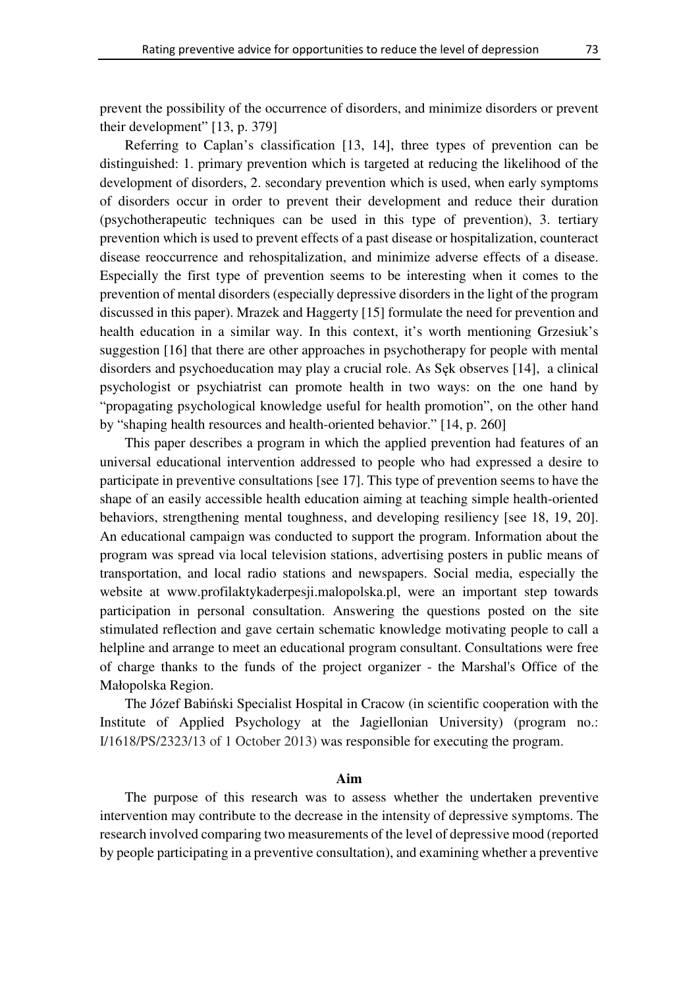prevent the possibility of the occurrence of disorders, and minimize disorders or prevent their development" [13, p. 379]

Referring to Caplan's classification [13, 14], three types of prevention can be distinguished: 1. primary prevention which is targeted at reducing the likelihood of the development of disorders, 2. secondary prevention which is used, when early symptoms of disorders occur in order to prevent their development and reduce their duration (psychotherapeutic techniques can be used in this type of prevention), 3. tertiary prevention which is used to prevent effects of a past disease or hospitalization, counteract disease reoccurrence and rehospitalization, and minimize adverse effects of a disease. Especially the first type of prevention seems to be interesting when it comes to the prevention of mental disorders (especially depressive disorders in the light of the program discussed in this paper). Mrazek and Haggerty [15] formulate the need for prevention and health education in a similar way. In this context, it's worth mentioning Grzesiuk's suggestion [16] that there are other approaches in psychotherapy for people with mental disorders and psychoeducation may play a crucial role. As Sęk observes [14], a clinical psychologist or psychiatrist can promote health in two ways: on the one hand by "propagating psychological knowledge useful for health promotion", on the other hand by "shaping health resources and health-oriented behavior." [14, p. 260]

This paper describes a program in which the applied prevention had features of an universal educational intervention addressed to people who had expressed a desire to participate in preventive consultations [see 17]. This type of prevention seems to have the shape of an easily accessible health education aiming at teaching simple health-oriented behaviors, strengthening mental toughness, and developing resiliency [see 18, 19, 20]. An educational campaign was conducted to support the program. Information about the program was spread via local television stations, advertising posters in public means of transportation, and local radio stations and newspapers. Social media, especially the website at www.profilaktykaderpesji.malopolska.pl, were an important step towards participation in personal consultation. Answering the questions posted on the site stimulated reflection and gave certain schematic knowledge motivating people to call a helpline and arrange to meet an educational program consultant. Consultations were free of charge thanks to the funds of the project organizer - the Marshal's Office of the Małopolska Region.

The Józef Babiński Specialist Hospital in Cracow (in scientific cooperation with the Institute of Applied Psychology at the Jagiellonian University) (program no.: I/1618/PS/2323/13 of 1 October 2013) was responsible for executing the program.

#### **Aim**

The purpose of this research was to assess whether the undertaken preventive intervention may contribute to the decrease in the intensity of depressive symptoms. The research involved comparing two measurements of the level of depressive mood (reported by people participating in a preventive consultation), and examining whether a preventive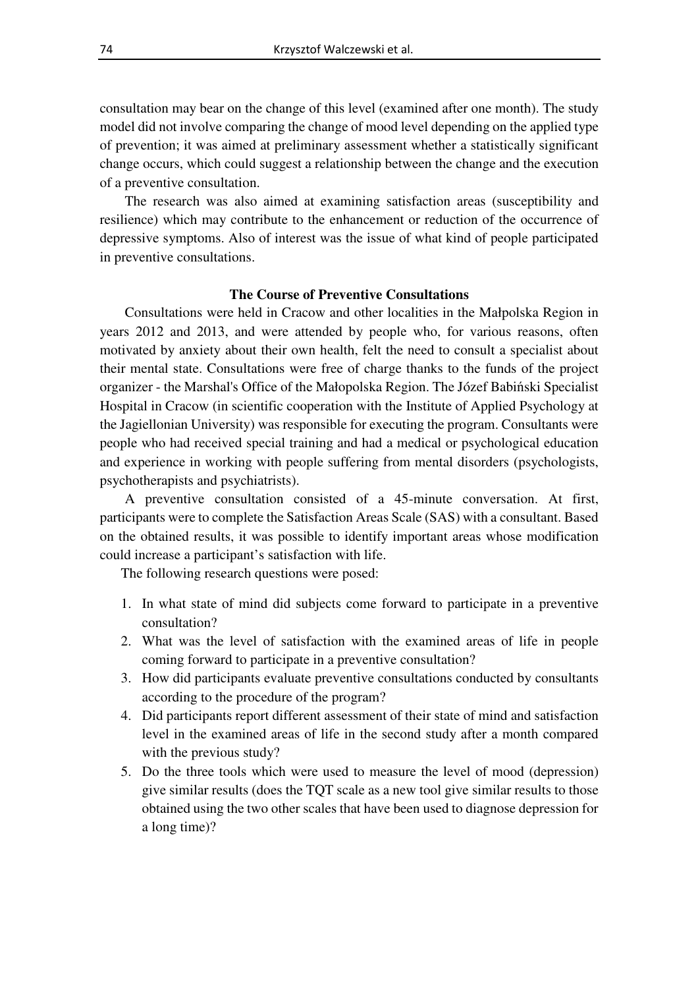consultation may bear on the change of this level (examined after one month). The study model did not involve comparing the change of mood level depending on the applied type of prevention; it was aimed at preliminary assessment whether a statistically significant change occurs, which could suggest a relationship between the change and the execution of a preventive consultation.

The research was also aimed at examining satisfaction areas (susceptibility and resilience) which may contribute to the enhancement or reduction of the occurrence of depressive symptoms. Also of interest was the issue of what kind of people participated in preventive consultations.

#### **The Course of Preventive Consultations**

Consultations were held in Cracow and other localities in the Małpolska Region in years 2012 and 2013, and were attended by people who, for various reasons, often motivated by anxiety about their own health, felt the need to consult a specialist about their mental state. Consultations were free of charge thanks to the funds of the project organizer - the Marshal's Office of the Małopolska Region. The Józef Babiński Specialist Hospital in Cracow (in scientific cooperation with the Institute of Applied Psychology at the Jagiellonian University) was responsible for executing the program. Consultants were people who had received special training and had a medical or psychological education and experience in working with people suffering from mental disorders (psychologists, psychotherapists and psychiatrists).

A preventive consultation consisted of a 45-minute conversation. At first, participants were to complete the Satisfaction Areas Scale (SAS) with a consultant. Based on the obtained results, it was possible to identify important areas whose modification could increase a participant's satisfaction with life.

The following research questions were posed:

- 1. In what state of mind did subjects come forward to participate in a preventive consultation?
- 2. What was the level of satisfaction with the examined areas of life in people coming forward to participate in a preventive consultation?
- 3. How did participants evaluate preventive consultations conducted by consultants according to the procedure of the program?
- 4. Did participants report different assessment of their state of mind and satisfaction level in the examined areas of life in the second study after a month compared with the previous study?
- 5. Do the three tools which were used to measure the level of mood (depression) give similar results (does the TQT scale as a new tool give similar results to those obtained using the two other scales that have been used to diagnose depression for a long time)?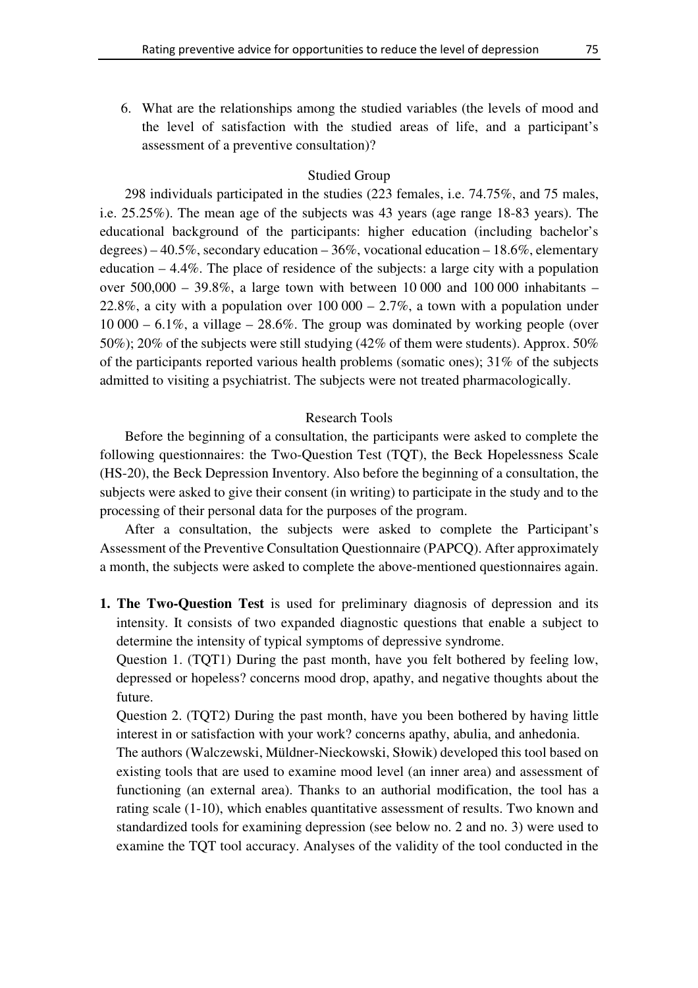6. What are the relationships among the studied variables (the levels of mood and the level of satisfaction with the studied areas of life, and a participant's assessment of a preventive consultation)?

# Studied Group

298 individuals participated in the studies (223 females, i.e. 74.75%, and 75 males, i.e. 25.25%). The mean age of the subjects was 43 years (age range 18-83 years). The educational background of the participants: higher education (including bachelor's degrees) – 40.5%, secondary education – 36%, vocational education – 18.6%, elementary education – 4.4%. The place of residence of the subjects: a large city with a population over  $500,000 - 39.8\%$ , a large town with between 10 000 and 100 000 inhabitants – 22.8%, a city with a population over  $100\,000 - 2.7\%$ , a town with a population under  $10\,000 - 6.1\%$ , a village  $-28.6\%$ . The group was dominated by working people (over 50%); 20% of the subjects were still studying (42% of them were students). Approx. 50% of the participants reported various health problems (somatic ones); 31% of the subjects admitted to visiting a psychiatrist. The subjects were not treated pharmacologically.

# Research Tools

Before the beginning of a consultation, the participants were asked to complete the following questionnaires: the Two-Question Test (TQT), the Beck Hopelessness Scale (HS-20), the Beck Depression Inventory. Also before the beginning of a consultation, the subjects were asked to give their consent (in writing) to participate in the study and to the processing of their personal data for the purposes of the program.

After a consultation, the subjects were asked to complete the Participant's Assessment of the Preventive Consultation Questionnaire (PAPCQ). After approximately a month, the subjects were asked to complete the above-mentioned questionnaires again.

**1. The Two-Question Test** is used for preliminary diagnosis of depression and its intensity. It consists of two expanded diagnostic questions that enable a subject to determine the intensity of typical symptoms of depressive syndrome.

Question 1. (TQT1) During the past month, have you felt bothered by feeling low, depressed or hopeless? concerns mood drop, apathy, and negative thoughts about the future.

Question 2. (TQT2) During the past month, have you been bothered by having little interest in or satisfaction with your work? concerns apathy, abulia, and anhedonia.

The authors (Walczewski, Müldner-Nieckowski, Słowik) developed this tool based on existing tools that are used to examine mood level (an inner area) and assessment of functioning (an external area). Thanks to an authorial modification, the tool has a rating scale (1-10), which enables quantitative assessment of results. Two known and standardized tools for examining depression (see below no. 2 and no. 3) were used to examine the TQT tool accuracy. Analyses of the validity of the tool conducted in the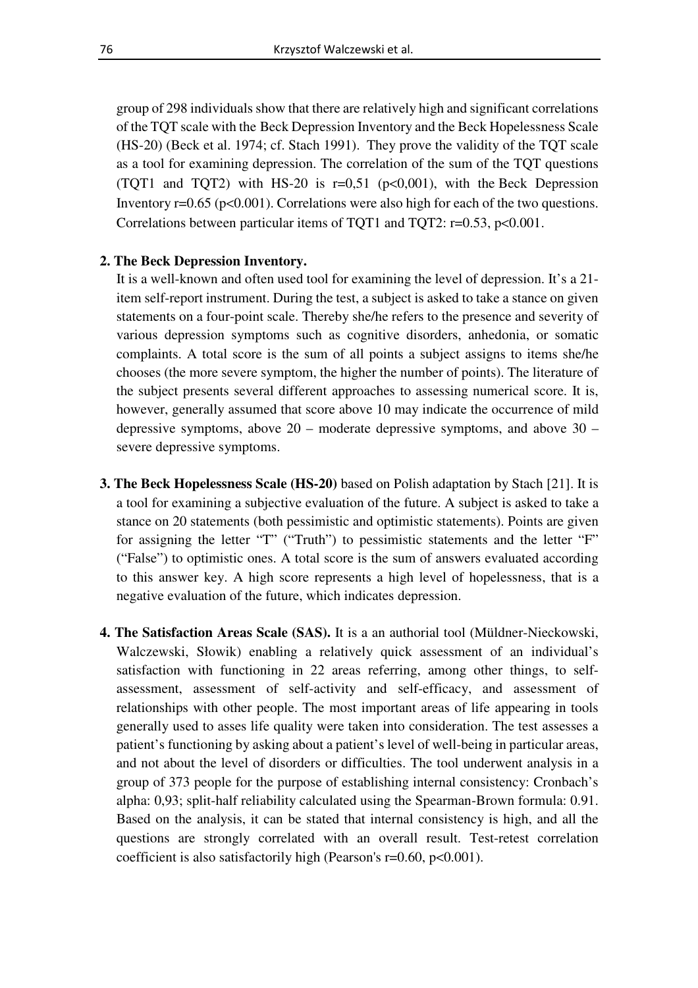group of 298 individuals show that there are relatively high and significant correlations of the TQT scale with the Beck Depression Inventory and the Beck Hopelessness Scale (HS-20) (Beck et al. 1974; cf. Stach 1991). They prove the validity of the TQT scale as a tool for examining depression. The correlation of the sum of the TQT questions (TQT1 and TQT2) with HS-20 is  $r=0.51$  ( $p<0.001$ ), with the Beck Depression Inventory  $r=0.65$  ( $p<0.001$ ). Correlations were also high for each of the two questions. Correlations between particular items of TQT1 and TQT2: r=0.53, p<0.001.

## **2. The Beck Depression Inventory.**

It is a well-known and often used tool for examining the level of depression. It's a 21 item self-report instrument. During the test, a subject is asked to take a stance on given statements on a four-point scale. Thereby she/he refers to the presence and severity of various depression symptoms such as cognitive disorders, anhedonia, or somatic complaints. A total score is the sum of all points a subject assigns to items she/he chooses (the more severe symptom, the higher the number of points). The literature of the subject presents several different approaches to assessing numerical score. It is, however, generally assumed that score above 10 may indicate the occurrence of mild depressive symptoms, above 20 – moderate depressive symptoms, and above 30 – severe depressive symptoms.

- **3. The Beck Hopelessness Scale (HS-20)** based on Polish adaptation by Stach [21]. It is a tool for examining a subjective evaluation of the future. A subject is asked to take a stance on 20 statements (both pessimistic and optimistic statements). Points are given for assigning the letter "T" ("Truth") to pessimistic statements and the letter "F" ("False") to optimistic ones. A total score is the sum of answers evaluated according to this answer key. A high score represents a high level of hopelessness, that is a negative evaluation of the future, which indicates depression.
- **4. The Satisfaction Areas Scale (SAS).** It is a an authorial tool (Müldner-Nieckowski, Walczewski, Słowik) enabling a relatively quick assessment of an individual's satisfaction with functioning in 22 areas referring, among other things, to selfassessment, assessment of self-activity and self-efficacy, and assessment of relationships with other people. The most important areas of life appearing in tools generally used to asses life quality were taken into consideration. The test assesses a patient's functioning by asking about a patient's level of well-being in particular areas, and not about the level of disorders or difficulties. The tool underwent analysis in a group of 373 people for the purpose of establishing internal consistency: Cronbach's alpha: 0,93; split-half reliability calculated using the Spearman-Brown formula: 0.91. Based on the analysis, it can be stated that internal consistency is high, and all the questions are strongly correlated with an overall result. Test-retest correlation coefficient is also satisfactorily high (Pearson's r=0.60, p<0.001).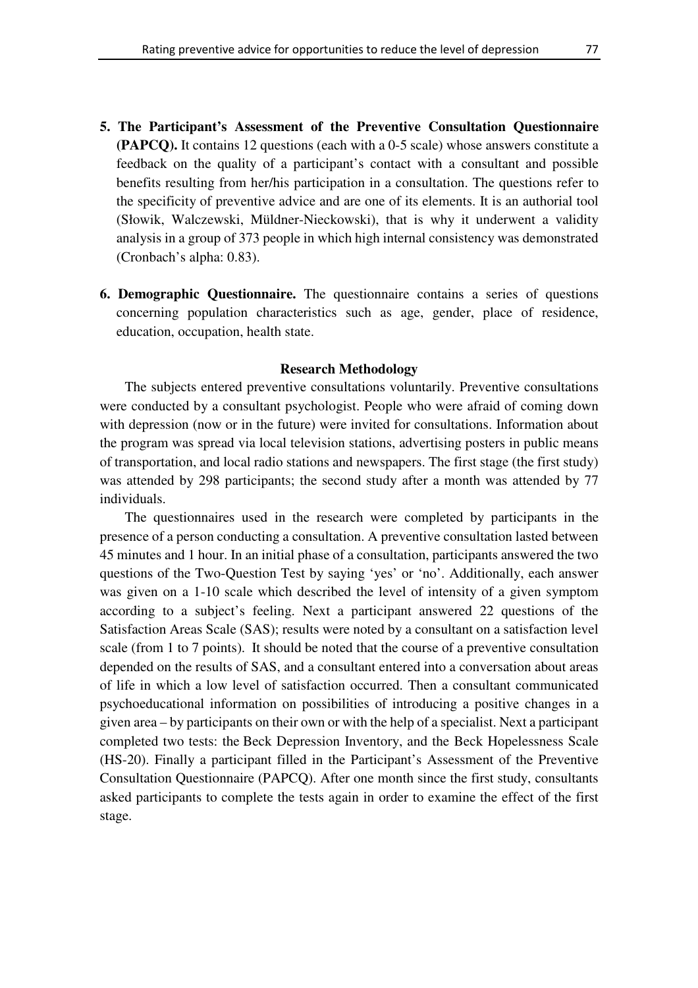- **5. The Participant's Assessment of the Preventive Consultation Questionnaire (PAPCQ).** It contains 12 questions (each with a 0-5 scale) whose answers constitute a feedback on the quality of a participant's contact with a consultant and possible benefits resulting from her/his participation in a consultation. The questions refer to the specificity of preventive advice and are one of its elements. It is an authorial tool (Słowik, Walczewski, Müldner-Nieckowski), that is why it underwent a validity analysis in a group of 373 people in which high internal consistency was demonstrated (Cronbach's alpha: 0.83).
- **6. Demographic Questionnaire.** The questionnaire contains a series of questions concerning population characteristics such as age, gender, place of residence, education, occupation, health state.

## **Research Methodology**

The subjects entered preventive consultations voluntarily. Preventive consultations were conducted by a consultant psychologist. People who were afraid of coming down with depression (now or in the future) were invited for consultations. Information about the program was spread via local television stations, advertising posters in public means of transportation, and local radio stations and newspapers. The first stage (the first study) was attended by 298 participants; the second study after a month was attended by 77 individuals.

The questionnaires used in the research were completed by participants in the presence of a person conducting a consultation. A preventive consultation lasted between 45 minutes and 1 hour. In an initial phase of a consultation, participants answered the two questions of the Two-Question Test by saying 'yes' or 'no'. Additionally, each answer was given on a 1-10 scale which described the level of intensity of a given symptom according to a subject's feeling. Next a participant answered 22 questions of the Satisfaction Areas Scale (SAS); results were noted by a consultant on a satisfaction level scale (from 1 to 7 points). It should be noted that the course of a preventive consultation depended on the results of SAS, and a consultant entered into a conversation about areas of life in which a low level of satisfaction occurred. Then a consultant communicated psychoeducational information on possibilities of introducing a positive changes in a given area – by participants on their own or with the help of a specialist. Next a participant completed two tests: the Beck Depression Inventory, and the Beck Hopelessness Scale (HS-20). Finally a participant filled in the Participant's Assessment of the Preventive Consultation Questionnaire (PAPCQ). After one month since the first study, consultants asked participants to complete the tests again in order to examine the effect of the first stage.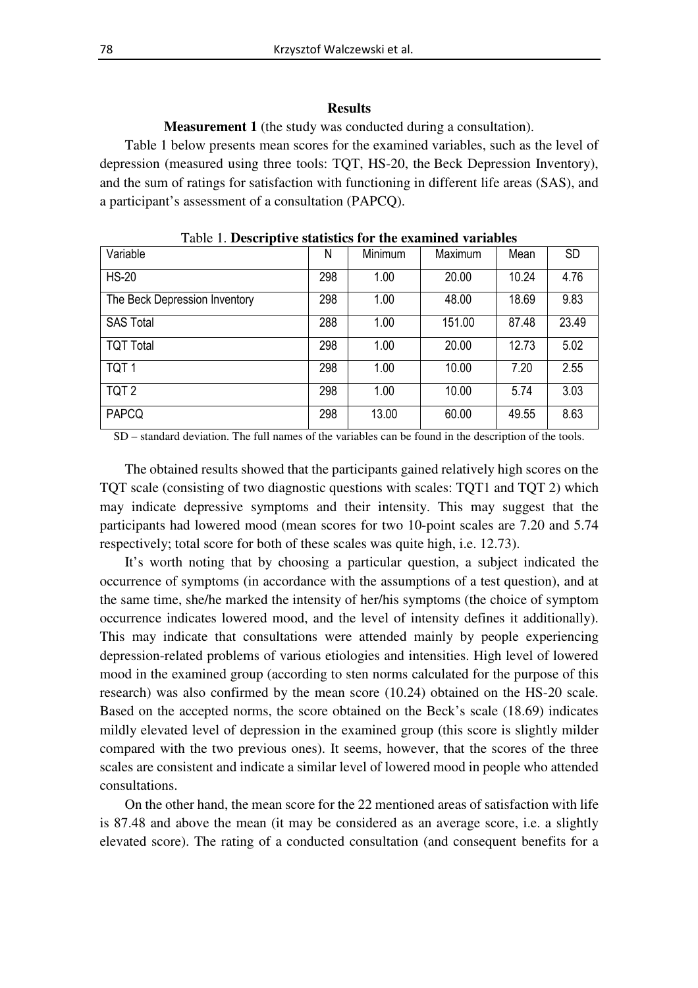#### **Results**

**Measurement 1** (the study was conducted during a consultation).

Table 1 below presents mean scores for the examined variables, such as the level of depression (measured using three tools: TQT, HS-20, the Beck Depression Inventory), and the sum of ratings for satisfaction with functioning in different life areas (SAS), and a participant's assessment of a consultation (PAPCQ).

| Variable                      | N   | Minimum | Maximum | Mean  | <b>SD</b> |
|-------------------------------|-----|---------|---------|-------|-----------|
| <b>HS-20</b>                  | 298 | 1.00    | 20.00   | 10.24 | 4.76      |
| The Beck Depression Inventory | 298 | 1.00    | 48.00   | 18.69 | 9.83      |
| <b>SAS Total</b>              | 288 | 1.00    | 151.00  | 87.48 | 23.49     |
| <b>TQT Total</b>              | 298 | 1.00    | 20.00   | 12.73 | 5.02      |
| TQT <sub>1</sub>              | 298 | 1.00    | 10.00   | 7.20  | 2.55      |
| TQT <sub>2</sub>              | 298 | 1.00    | 10.00   | 5.74  | 3.03      |
| <b>PAPCQ</b>                  | 298 | 13.00   | 60.00   | 49.55 | 8.63      |

Table 1. **Descriptive statistics for the examined variables** 

SD – standard deviation. The full names of the variables can be found in the description of the tools.

The obtained results showed that the participants gained relatively high scores on the TQT scale (consisting of two diagnostic questions with scales: TQT1 and TQT 2) which may indicate depressive symptoms and their intensity. This may suggest that the participants had lowered mood (mean scores for two 10-point scales are 7.20 and 5.74 respectively; total score for both of these scales was quite high, i.e. 12.73).

It's worth noting that by choosing a particular question, a subject indicated the occurrence of symptoms (in accordance with the assumptions of a test question), and at the same time, she/he marked the intensity of her/his symptoms (the choice of symptom occurrence indicates lowered mood, and the level of intensity defines it additionally). This may indicate that consultations were attended mainly by people experiencing depression-related problems of various etiologies and intensities. High level of lowered mood in the examined group (according to sten norms calculated for the purpose of this research) was also confirmed by the mean score (10.24) obtained on the HS-20 scale. Based on the accepted norms, the score obtained on the Beck's scale (18.69) indicates mildly elevated level of depression in the examined group (this score is slightly milder compared with the two previous ones). It seems, however, that the scores of the three scales are consistent and indicate a similar level of lowered mood in people who attended consultations.

On the other hand, the mean score for the 22 mentioned areas of satisfaction with life is 87.48 and above the mean (it may be considered as an average score, i.e. a slightly elevated score). The rating of a conducted consultation (and consequent benefits for a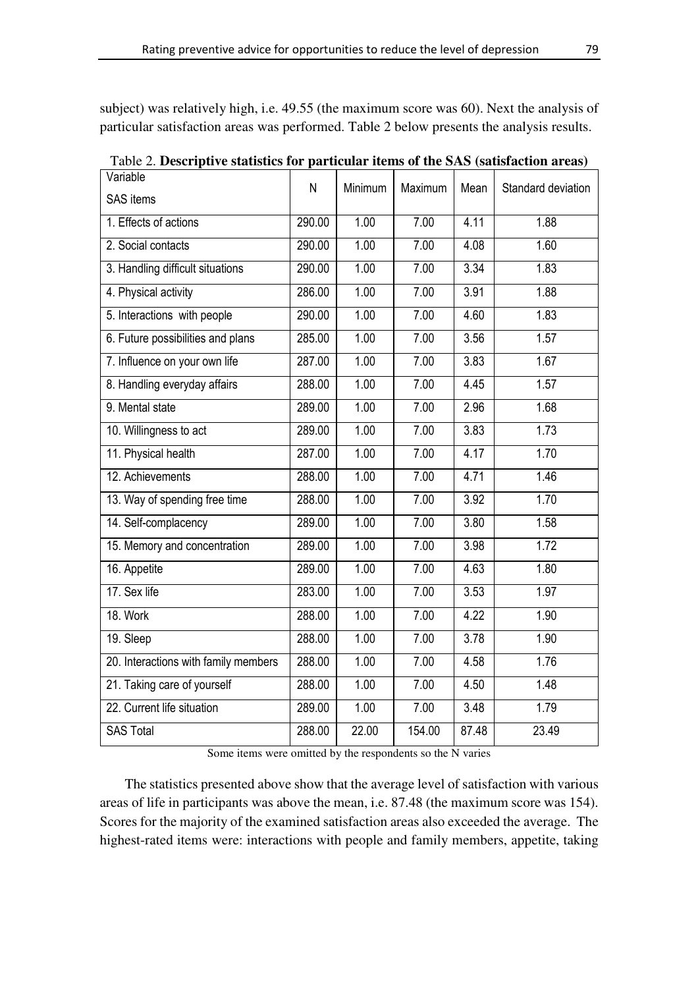subject) was relatively high, i.e. 49.55 (the maximum score was 60). Next the analysis of particular satisfaction areas was performed. Table 2 below presents the analysis results.

| Variable                             | N      | Minimum | Maximum | Mean  | Standard deviation |  |  |
|--------------------------------------|--------|---------|---------|-------|--------------------|--|--|
| <b>SAS</b> items                     |        |         |         |       |                    |  |  |
| 1. Effects of actions                | 290.00 | 1.00    | 7.00    | 4.11  | 1.88               |  |  |
| 2. Social contacts                   | 290.00 | 1.00    | 7.00    | 4.08  | 1.60               |  |  |
| 3. Handling difficult situations     | 290.00 | 1.00    | 7.00    | 3.34  | 1.83               |  |  |
| 4. Physical activity                 | 286.00 | 1.00    | 7.00    | 3.91  | 1.88               |  |  |
| 5. Interactions with people          | 290.00 | 1.00    | 7.00    | 4.60  | 1.83               |  |  |
| 6. Future possibilities and plans    | 285.00 | 1.00    | 7.00    | 3.56  | 1.57               |  |  |
| 7. Influence on your own life        | 287.00 | 1.00    | 7.00    | 3.83  | 1.67               |  |  |
| 8. Handling everyday affairs         | 288.00 | 1.00    | 7.00    | 4.45  | 1.57               |  |  |
| 9. Mental state                      | 289.00 | 1.00    | 7.00    | 2.96  | 1.68               |  |  |
| 10. Willingness to act               | 289.00 | 1.00    | 7.00    | 3.83  | 1.73               |  |  |
| 11. Physical health                  | 287.00 | 1.00    | 7.00    | 4.17  | 1.70               |  |  |
| 12. Achievements                     | 288.00 | 1.00    | 7.00    | 4.71  | 1.46               |  |  |
| 13. Way of spending free time        | 288.00 | 1.00    | 7.00    | 3.92  | 1.70               |  |  |
| 14. Self-complacency                 | 289.00 | 1.00    | 7.00    | 3.80  | 1.58               |  |  |
| 15. Memory and concentration         | 289.00 | 1.00    | 7.00    | 3.98  | 1.72               |  |  |
| 16. Appetite                         | 289.00 | 1.00    | 7.00    | 4.63  | 1.80               |  |  |
| 17. Sex life                         | 283.00 | 1.00    | 7.00    | 3.53  | 1.97               |  |  |
| 18. Work                             | 288.00 | 1.00    | 7.00    | 4.22  | 1.90               |  |  |
| 19. Sleep                            | 288.00 | 1.00    | 7.00    | 3.78  | 1.90               |  |  |
| 20. Interactions with family members | 288.00 | 1.00    | 7.00    | 4.58  | 1.76               |  |  |
| 21. Taking care of yourself          | 288.00 | 1.00    | 7.00    | 4.50  | 1.48               |  |  |
| 22. Current life situation           | 289.00 | 1.00    | 7.00    | 3.48  | 1.79               |  |  |
| <b>SAS Total</b>                     | 288.00 | 22.00   | 154.00  | 87.48 | 23.49              |  |  |

Table 2. **Descriptive statistics for particular items of the SAS (satisfaction areas)**

Some items were omitted by the respondents so the N varies

The statistics presented above show that the average level of satisfaction with various areas of life in participants was above the mean, i.e. 87.48 (the maximum score was 154). Scores for the majority of the examined satisfaction areas also exceeded the average. The highest-rated items were: interactions with people and family members, appetite, taking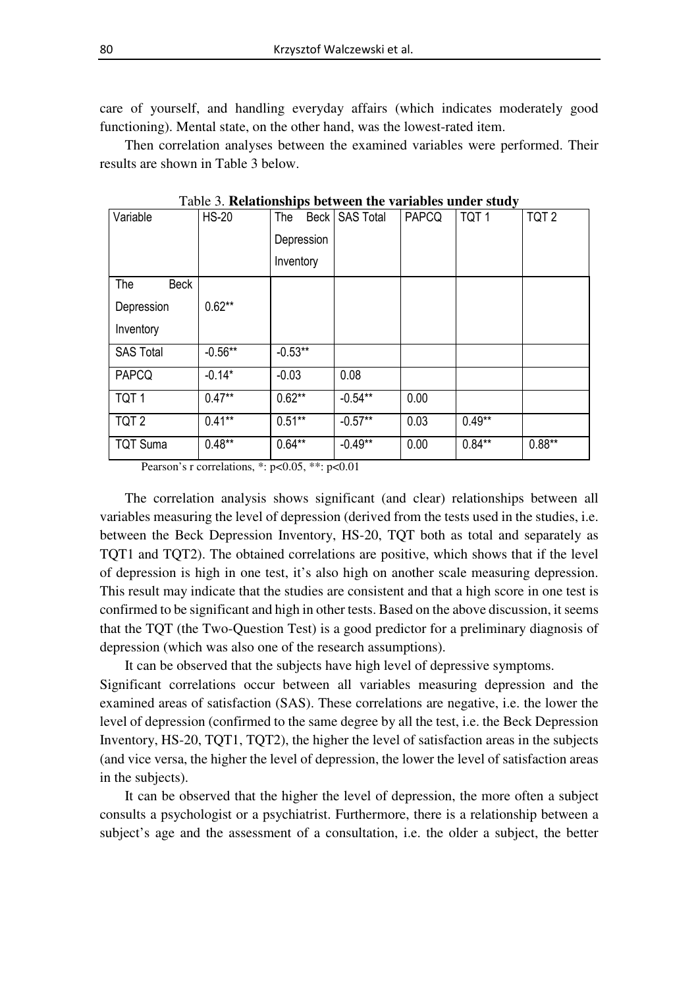care of yourself, and handling everyday affairs (which indicates moderately good functioning). Mental state, on the other hand, was the lowest-rated item.

Then correlation analyses between the examined variables were performed. Their results are shown in Table 3 below.

| Table 5. <b>Kelationships between the variables under study</b> |              |            |                |              |                  |                  |  |  |  |
|-----------------------------------------------------------------|--------------|------------|----------------|--------------|------------------|------------------|--|--|--|
| Variable                                                        | <b>HS-20</b> | The        | Beck SAS Total | <b>PAPCQ</b> | TQT <sub>1</sub> | TQT <sub>2</sub> |  |  |  |
|                                                                 |              | Depression |                |              |                  |                  |  |  |  |
|                                                                 |              | Inventory  |                |              |                  |                  |  |  |  |
| Beck<br>The                                                     |              |            |                |              |                  |                  |  |  |  |
| Depression                                                      | $0.62***$    |            |                |              |                  |                  |  |  |  |
| Inventory                                                       |              |            |                |              |                  |                  |  |  |  |
| <b>SAS Total</b>                                                | $-0.56**$    | $-0.53**$  |                |              |                  |                  |  |  |  |
| <b>PAPCQ</b>                                                    | $-0.14*$     | $-0.03$    | 0.08           |              |                  |                  |  |  |  |
| TQT <sub>1</sub>                                                | $0.47**$     | $0.62**$   | $-0.54**$      | 0.00         |                  |                  |  |  |  |
| TQT <sub>2</sub>                                                | $0.41***$    | $0.51**$   | $-0.57**$      | 0.03         | $0.49**$         |                  |  |  |  |
| <b>TQT Suma</b>                                                 | $0.48***$    | $0.64**$   | $-0.49**$      | 0.00         | $0.84**$         | $0.88**$         |  |  |  |

Table 3. **Relationships between the variables under study** 

Pearson's r correlations, \*: p<0.05, \*\*: p<0.01

The correlation analysis shows significant (and clear) relationships between all variables measuring the level of depression (derived from the tests used in the studies, i.e. between the Beck Depression Inventory, HS-20, TQT both as total and separately as TQT1 and TQT2). The obtained correlations are positive, which shows that if the level of depression is high in one test, it's also high on another scale measuring depression. This result may indicate that the studies are consistent and that a high score in one test is confirmed to be significant and high in other tests. Based on the above discussion, it seems that the TQT (the Two-Question Test) is a good predictor for a preliminary diagnosis of depression (which was also one of the research assumptions).

It can be observed that the subjects have high level of depressive symptoms.

Significant correlations occur between all variables measuring depression and the examined areas of satisfaction (SAS). These correlations are negative, i.e. the lower the level of depression (confirmed to the same degree by all the test, i.e. the Beck Depression Inventory, HS-20, TQT1, TQT2), the higher the level of satisfaction areas in the subjects (and vice versa, the higher the level of depression, the lower the level of satisfaction areas in the subjects).

It can be observed that the higher the level of depression, the more often a subject consults a psychologist or a psychiatrist. Furthermore, there is a relationship between a subject's age and the assessment of a consultation, i.e. the older a subject, the better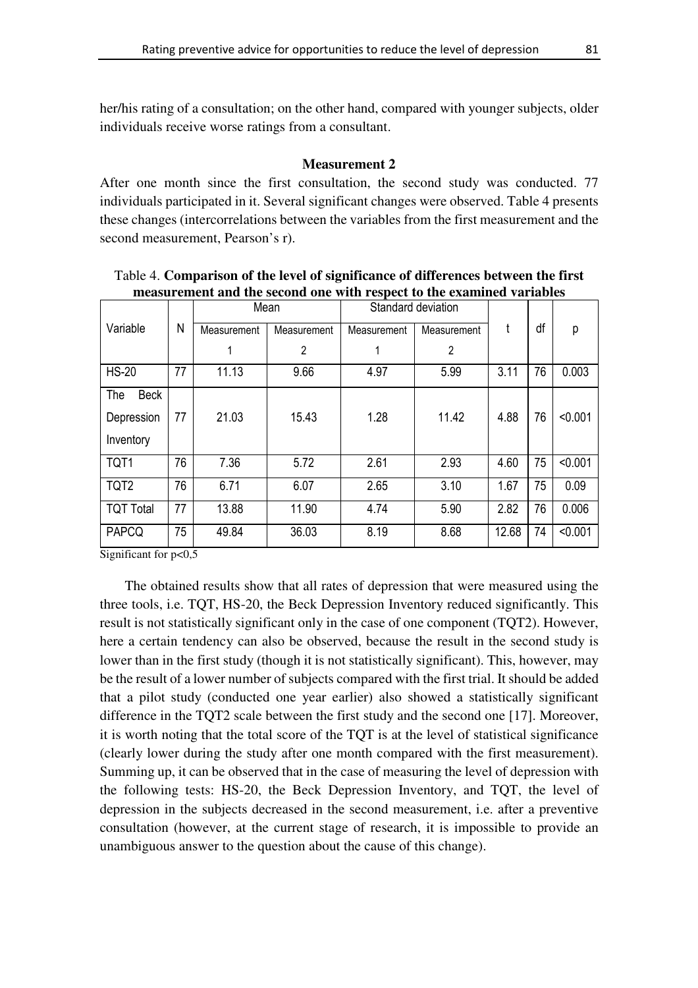her/his rating of a consultation; on the other hand, compared with younger subjects, older individuals receive worse ratings from a consultant.

# **Measurement 2**

After one month since the first consultation, the second study was conducted. 77 individuals participated in it. Several significant changes were observed. Table 4 presents these changes (intercorrelations between the variables from the first measurement and the second measurement, Pearson's r).

|                    |    | Mean        |                | Standard deviation |                |       |    |         |
|--------------------|----|-------------|----------------|--------------------|----------------|-------|----|---------|
| Variable           | N  | Measurement | Measurement    | Measurement        | Measurement    | t     | df | p       |
|                    |    |             | $\overline{2}$ | 1                  | $\overline{2}$ |       |    |         |
| <b>HS-20</b>       | 77 | 11.13       | 9.66           | 4.97               | 5.99           | 3.11  | 76 | 0.003   |
| <b>Beck</b><br>The |    |             |                |                    |                |       |    |         |
| Depression         | 77 | 21.03       | 15.43          | 1.28               | 11.42          | 4.88  | 76 | < 0.001 |
| Inventory          |    |             |                |                    |                |       |    |         |
| TQT1               | 76 | 7.36        | 5.72           | 2.61               | 2.93           | 4.60  | 75 | < 0.001 |
| TQT <sub>2</sub>   | 76 | 6.71        | 6.07           | 2.65               | 3.10           | 1.67  | 75 | 0.09    |
| <b>TQT Total</b>   | 77 | 13.88       | 11.90          | 4.74               | 5.90           | 2.82  | 76 | 0.006   |
| <b>PAPCQ</b>       | 75 | 49.84       | 36.03          | 8.19               | 8.68           | 12.68 | 74 | < 0.001 |

Table 4. **Comparison of the level of significance of differences between the first measurement and the second one with respect to the examined variables**

Significant for p<0,5

The obtained results show that all rates of depression that were measured using the three tools, i.e. TQT, HS-20, the Beck Depression Inventory reduced significantly. This result is not statistically significant only in the case of one component (TQT2). However, here a certain tendency can also be observed, because the result in the second study is lower than in the first study (though it is not statistically significant). This, however, may be the result of a lower number of subjects compared with the first trial. It should be added that a pilot study (conducted one year earlier) also showed a statistically significant difference in the TQT2 scale between the first study and the second one [17]. Moreover, it is worth noting that the total score of the TQT is at the level of statistical significance (clearly lower during the study after one month compared with the first measurement). Summing up, it can be observed that in the case of measuring the level of depression with the following tests: HS-20, the Beck Depression Inventory, and TQT, the level of depression in the subjects decreased in the second measurement, i.e. after a preventive consultation (however, at the current stage of research, it is impossible to provide an unambiguous answer to the question about the cause of this change).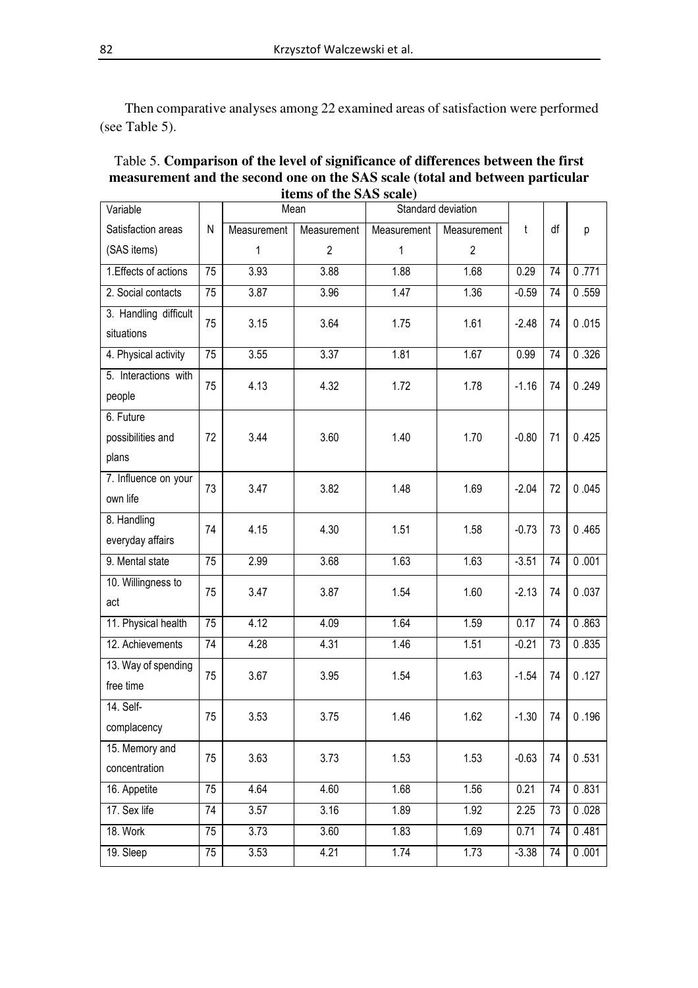Then comparative analyses among 22 examined areas of satisfaction were performed (see Table 5).

| Variable                            |    | Mean        |                | Standard deviation |                |         |    |       |
|-------------------------------------|----|-------------|----------------|--------------------|----------------|---------|----|-------|
| Satisfaction areas                  | N  | Measurement | Measurement    | Measurement        | Measurement    | t       | df | р     |
| (SAS items)                         |    | 1           | $\overline{2}$ | 1                  | $\overline{2}$ |         |    |       |
| 1. Effects of actions               | 75 | 3.93        | 3.88           | 1.88               | 1.68           | 0.29    | 74 | 0.771 |
| 2. Social contacts                  | 75 | 3.87        | 3.96           | 1.47               | 1.36           | $-0.59$ | 74 | 0.559 |
| 3. Handling difficult<br>situations | 75 | 3.15        | 3.64           | 1.75               | 1.61           | $-2.48$ | 74 | 0.015 |
| 4. Physical activity                | 75 | 3.55        | 3.37           | 1.81               | 1.67           | 0.99    | 74 | 0.326 |
| 5. Interactions with                | 75 | 4.13        | 4.32           | 1.72               | 1.78           | $-1.16$ | 74 | 0.249 |
| people                              |    |             |                |                    |                |         |    |       |
| 6. Future                           |    |             |                |                    |                |         |    |       |
| possibilities and                   | 72 | 3.44        | 3.60           | 1.40               | 1.70           | $-0.80$ | 71 | 0.425 |
| plans                               |    |             |                |                    |                |         |    |       |
| 7. Influence on your                | 73 | 3.47        | 3.82           | 1.48               | 1.69           | $-2.04$ | 72 | 0.045 |
| own life                            |    |             |                |                    |                |         |    |       |
| 8. Handling                         | 74 | 4.15        | 4.30           | 1.51               | 1.58           | $-0.73$ | 73 | 0.465 |
| everyday affairs                    |    |             |                |                    |                |         |    |       |
| 9. Mental state                     | 75 | 2.99        | 3.68           | 1.63               | 1.63           | $-3.51$ | 74 | 0.001 |
| 10. Willingness to                  | 75 | 3.47        | 3.87           | 1.54               | 1.60           | $-2.13$ | 74 | 0.037 |
| act                                 |    |             |                |                    |                |         |    |       |
| 11. Physical health                 | 75 | 4.12        | 4.09           | 1.64               | 1.59           | 0.17    | 74 | 0.863 |
| 12. Achievements                    | 74 | 4.28        | 4.31           | 1.46               | 1.51           | $-0.21$ | 73 | 0.835 |
| 13. Way of spending                 | 75 | 3.67        | 3.95           | 1.54               | 1.63           | $-1.54$ | 74 | 0.127 |
| free time                           |    |             |                |                    |                |         |    |       |
| 14. Self-                           | 75 | 3.53        | 3.75           | 1.46               | 1.62           | $-1.30$ | 74 | 0.196 |
| complacency                         |    |             |                |                    |                |         |    |       |
| 15. Memory and                      | 75 | 3.63        | 3.73           | 1.53               | 1.53           | $-0.63$ | 74 | 0.531 |
| concentration                       |    |             |                |                    |                |         |    |       |
| 16. Appetite                        | 75 | 4.64        | 4.60           | 1.68               | 1.56           | 0.21    | 74 | 0.831 |
| 17. Sex life                        | 74 | 3.57        | 3.16           | 1.89               | 1.92           | 2.25    | 73 | 0.028 |
| 18. Work                            | 75 | 3.73        | 3.60           | 1.83               | 1.69           | 0.71    | 74 | 0.481 |
| 19. Sleep                           | 75 | 3.53        | 4.21           | 1.74               | 1.73           | $-3.38$ | 74 | 0.001 |

Table 5. **Comparison of the level of significance of differences between the first measurement and the second one on the SAS scale (total and between particular items of the SAS scale)**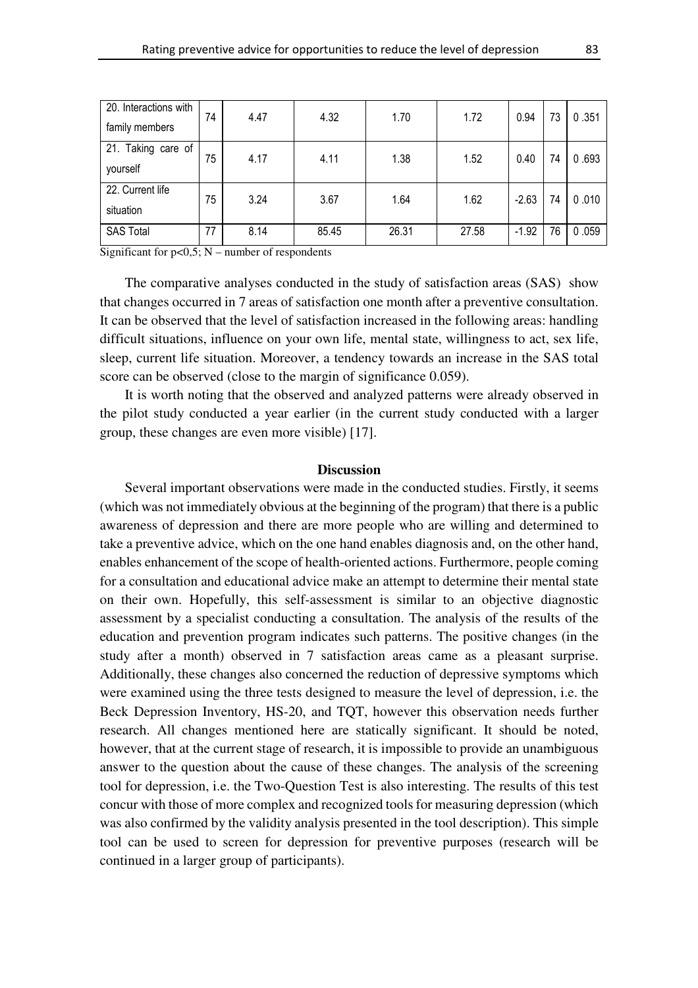| 20. Interactions with | 74 | 4.47 | 4.32  | 1.70  | 1.72  | 0.94    | 73 | 0.351 |
|-----------------------|----|------|-------|-------|-------|---------|----|-------|
| family members        |    |      |       |       |       |         |    |       |
| 21. Taking care of    | 75 | 4.17 | 4.11  | 1.38  | 1.52  | 0.40    | 74 | 0.693 |
| yourself              |    |      |       |       |       |         |    |       |
| 22. Current life      | 75 | 3.24 | 3.67  | 1.64  | 1.62  | $-2.63$ | 74 | 0.010 |
| situation             |    |      |       |       |       |         |    |       |
| <b>SAS Total</b>      | 77 | 8.14 | 85.45 | 26.31 | 27.58 | $-1.92$ | 76 | 0.059 |

Significant for  $p<0,5$ ; N – number of respondents

The comparative analyses conducted in the study of satisfaction areas (SAS) show that changes occurred in 7 areas of satisfaction one month after a preventive consultation. It can be observed that the level of satisfaction increased in the following areas: handling difficult situations, influence on your own life, mental state, willingness to act, sex life, sleep, current life situation. Moreover, a tendency towards an increase in the SAS total score can be observed (close to the margin of significance 0.059).

It is worth noting that the observed and analyzed patterns were already observed in the pilot study conducted a year earlier (in the current study conducted with a larger group, these changes are even more visible) [17].

## **Discussion**

Several important observations were made in the conducted studies. Firstly, it seems (which was not immediately obvious at the beginning of the program) that there is a public awareness of depression and there are more people who are willing and determined to take a preventive advice, which on the one hand enables diagnosis and, on the other hand, enables enhancement of the scope of health-oriented actions. Furthermore, people coming for a consultation and educational advice make an attempt to determine their mental state on their own. Hopefully, this self-assessment is similar to an objective diagnostic assessment by a specialist conducting a consultation. The analysis of the results of the education and prevention program indicates such patterns. The positive changes (in the study after a month) observed in 7 satisfaction areas came as a pleasant surprise. Additionally, these changes also concerned the reduction of depressive symptoms which were examined using the three tests designed to measure the level of depression, i.e. the Beck Depression Inventory, HS-20, and TQT, however this observation needs further research. All changes mentioned here are statically significant. It should be noted, however, that at the current stage of research, it is impossible to provide an unambiguous answer to the question about the cause of these changes. The analysis of the screening tool for depression, i.e. the Two-Question Test is also interesting. The results of this test concur with those of more complex and recognized tools for measuring depression (which was also confirmed by the validity analysis presented in the tool description). This simple tool can be used to screen for depression for preventive purposes (research will be continued in a larger group of participants).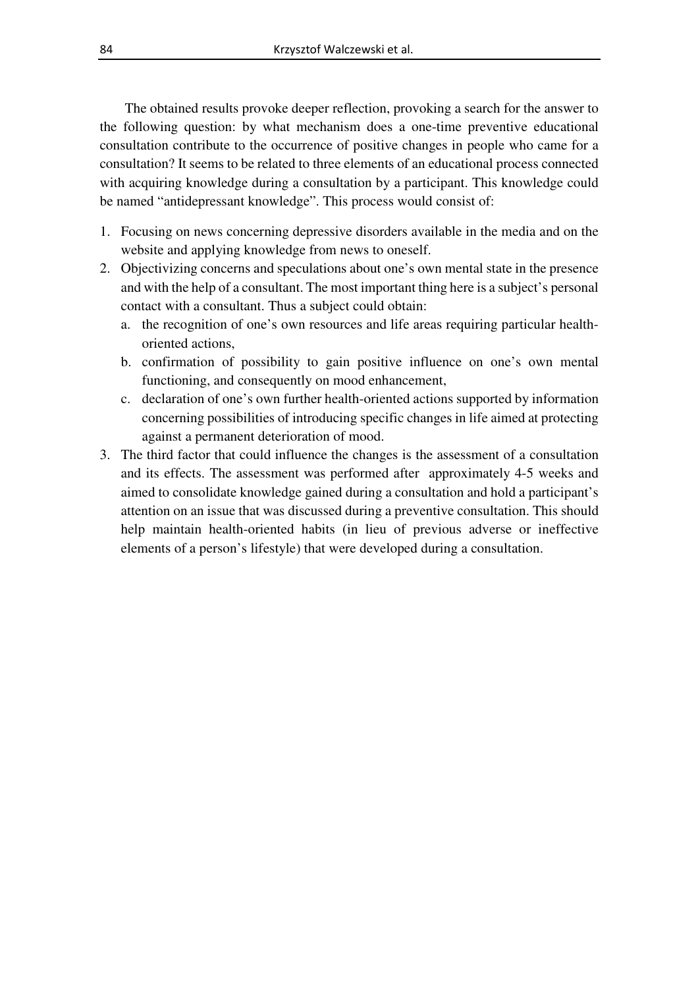The obtained results provoke deeper reflection, provoking a search for the answer to the following question: by what mechanism does a one-time preventive educational consultation contribute to the occurrence of positive changes in people who came for a consultation? It seems to be related to three elements of an educational process connected with acquiring knowledge during a consultation by a participant. This knowledge could be named "antidepressant knowledge". This process would consist of:

- 1. Focusing on news concerning depressive disorders available in the media and on the website and applying knowledge from news to oneself.
- 2. Objectivizing concerns and speculations about one's own mental state in the presence and with the help of a consultant. The most important thing here is a subject's personal contact with a consultant. Thus a subject could obtain:
	- a. the recognition of one's own resources and life areas requiring particular healthoriented actions,
	- b. confirmation of possibility to gain positive influence on one's own mental functioning, and consequently on mood enhancement,
	- c. declaration of one's own further health-oriented actions supported by information concerning possibilities of introducing specific changes in life aimed at protecting against a permanent deterioration of mood.
- 3. The third factor that could influence the changes is the assessment of a consultation and its effects. The assessment was performed after approximately 4-5 weeks and aimed to consolidate knowledge gained during a consultation and hold a participant's attention on an issue that was discussed during a preventive consultation. This should help maintain health-oriented habits (in lieu of previous adverse or ineffective elements of a person's lifestyle) that were developed during a consultation.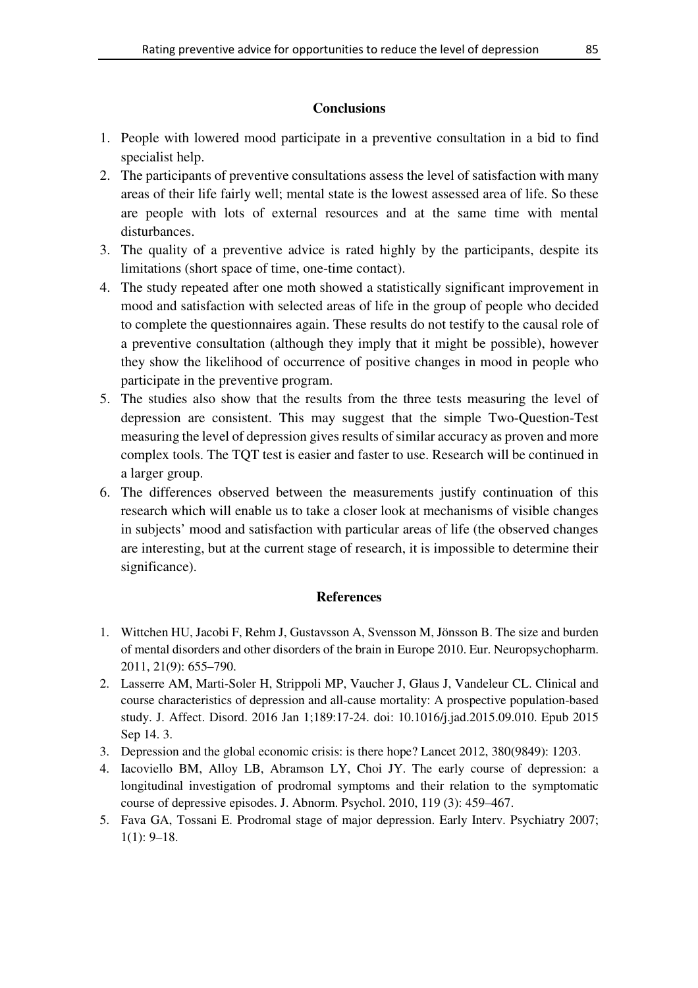# **Conclusions**

- 1. People with lowered mood participate in a preventive consultation in a bid to find specialist help.
- 2. The participants of preventive consultations assess the level of satisfaction with many areas of their life fairly well; mental state is the lowest assessed area of life. So these are people with lots of external resources and at the same time with mental disturbances.
- 3. The quality of a preventive advice is rated highly by the participants, despite its limitations (short space of time, one-time contact).
- 4. The study repeated after one moth showed a statistically significant improvement in mood and satisfaction with selected areas of life in the group of people who decided to complete the questionnaires again. These results do not testify to the causal role of a preventive consultation (although they imply that it might be possible), however they show the likelihood of occurrence of positive changes in mood in people who participate in the preventive program.
- 5. The studies also show that the results from the three tests measuring the level of depression are consistent. This may suggest that the simple Two-Question-Test measuring the level of depression gives results of similar accuracy as proven and more complex tools. The TQT test is easier and faster to use. Research will be continued in a larger group.
- 6. The differences observed between the measurements justify continuation of this research which will enable us to take a closer look at mechanisms of visible changes in subjects' mood and satisfaction with particular areas of life (the observed changes are interesting, but at the current stage of research, it is impossible to determine their significance).

# **References**

- 1. Wittchen HU, Jacobi F, Rehm J, Gustavsson A, Svensson M, Jönsson B. The size and burden of mental disorders and other disorders of the brain in Europe 2010. Eur. Neuropsychopharm. 2011, 21(9): 655–790.
- 2. Lasserre AM, Marti-Soler H, Strippoli MP, Vaucher J, Glaus J, Vandeleur CL. Clinical and course characteristics of depression and all-cause mortality: A prospective population-based study. J. Affect. Disord. 2016 Jan 1;189:17-24. doi: 10.1016/j.jad.2015.09.010. Epub 2015 Sep 14. 3.
- 3. Depression and the global economic crisis: is there hope? Lancet 2012, 380(9849): 1203.
- 4. Iacoviello BM, Alloy LB, Abramson LY, Choi JY. The early course of depression: a longitudinal investigation of prodromal symptoms and their relation to the symptomatic course of depressive episodes. J. Abnorm. Psychol. 2010, 119 (3): 459–467.
- 5. Fava GA, Tossani E. Prodromal stage of major depression. Early Interv. Psychiatry 2007;  $1(1): 9-18.$